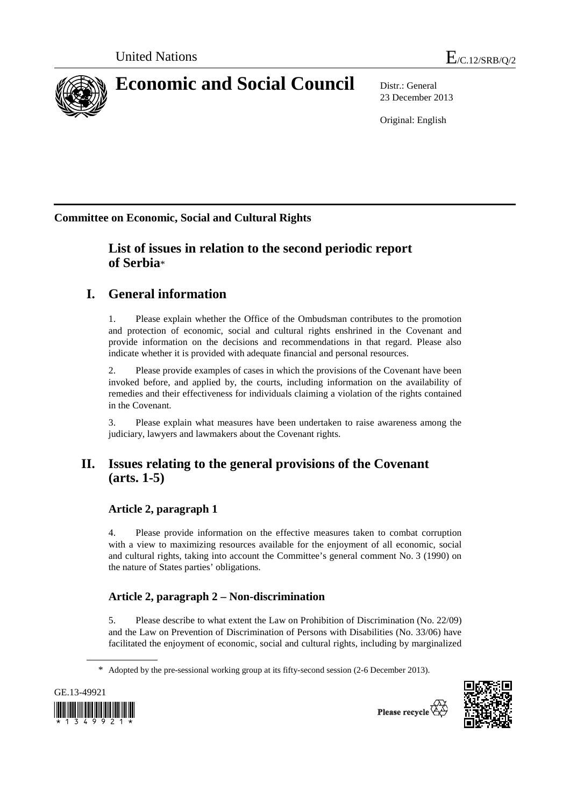

23 December 2013

Original: English

**Committee on Economic, Social and Cultural Rights**

# **List of issues in relation to the second periodic report of Serbia**\*

# **I. General information**

1. Please explain whether the Office of the Ombudsman contributes to the promotion and protection of economic, social and cultural rights enshrined in the Covenant and provide information on the decisions and recommendations in that regard. Please also indicate whether it is provided with adequate financial and personal resources.

2. Please provide examples of cases in which the provisions of the Covenant have been invoked before, and applied by, the courts, including information on the availability of remedies and their effectiveness for individuals claiming a violation of the rights contained in the Covenant.

3. Please explain what measures have been undertaken to raise awareness among the judiciary, lawyers and lawmakers about the Covenant rights.

# **II. Issues relating to the general provisions of the Covenant (arts. 1-5)**

# **Article 2, paragraph 1**

4. Please provide information on the effective measures taken to combat corruption with a view to maximizing resources available for the enjoyment of all economic, social and cultural rights, taking into account the Committee's general comment No. 3 (1990) on the nature of States parties' obligations.

# **Article 2, paragraph 2 – Non-discrimination**

5. Please describe to what extent the Law on Prohibition of Discrimination (No. 22/09) and the Law on Prevention of Discrimination of Persons with Disabilities (No. 33/06) have facilitated the enjoyment of economic, social and cultural rights, including by marginalized

<sup>\*</sup> Adopted by the pre-sessional working group at its fifty-second session (2-6 December 2013).





Please recycle  $\overleftrightarrow{C}_K$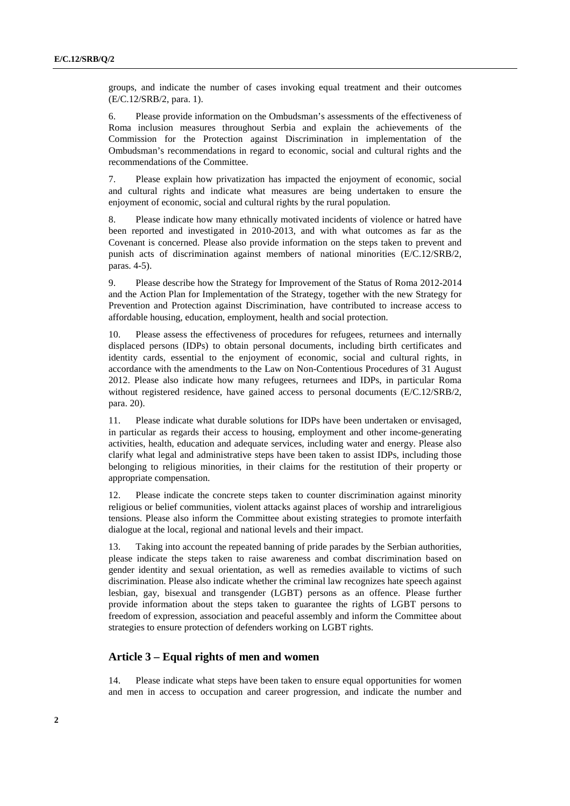groups, and indicate the number of cases invoking equal treatment and their outcomes (E/C.12/SRB/2, para. 1).

6. Please provide information on the Ombudsman's assessments of the effectiveness of Roma inclusion measures throughout Serbia and explain the achievements of the Commission for the Protection against Discrimination in implementation of the Ombudsman's recommendations in regard to economic, social and cultural rights and the recommendations of the Committee.

7. Please explain how privatization has impacted the enjoyment of economic, social and cultural rights and indicate what measures are being undertaken to ensure the enjoyment of economic, social and cultural rights by the rural population.

8. Please indicate how many ethnically motivated incidents of violence or hatred have been reported and investigated in 2010-2013, and with what outcomes as far as the Covenant is concerned. Please also provide information on the steps taken to prevent and punish acts of discrimination against members of national minorities (E/C.12/SRB/2, paras. 4-5).

9. Please describe how the Strategy for Improvement of the Status of Roma 2012-2014 and the Action Plan for Implementation of the Strategy, together with the new Strategy for Prevention and Protection against Discrimination, have contributed to increase access to affordable housing, education, employment, health and social protection.

10. Please assess the effectiveness of procedures for refugees, returnees and internally displaced persons (IDPs) to obtain personal documents, including birth certificates and identity cards, essential to the enjoyment of economic, social and cultural rights, in accordance with the amendments to the Law on Non-Contentious Procedures of 31 August 2012. Please also indicate how many refugees, returnees and IDPs, in particular Roma without registered residence, have gained access to personal documents (E/C.12/SRB/2, para. 20).

11. Please indicate what durable solutions for IDPs have been undertaken or envisaged, in particular as regards their access to housing, employment and other income-generating activities, health, education and adequate services, including water and energy. Please also clarify what legal and administrative steps have been taken to assist IDPs, including those belonging to religious minorities, in their claims for the restitution of their property or appropriate compensation.

12. Please indicate the concrete steps taken to counter discrimination against minority religious or belief communities, violent attacks against places of worship and intrareligious tensions. Please also inform the Committee about existing strategies to promote interfaith dialogue at the local, regional and national levels and their impact.

13. Taking into account the repeated banning of pride parades by the Serbian authorities, please indicate the steps taken to raise awareness and combat discrimination based on gender identity and sexual orientation, as well as remedies available to victims of such discrimination. Please also indicate whether the criminal law recognizes hate speech against lesbian, gay, bisexual and transgender (LGBT) persons as an offence. Please further provide information about the steps taken to guarantee the rights of LGBT persons to freedom of expression, association and peaceful assembly and inform the Committee about strategies to ensure protection of defenders working on LGBT rights.

### **Article 3 – Equal rights of men and women**

14. Please indicate what steps have been taken to ensure equal opportunities for women and men in access to occupation and career progression, and indicate the number and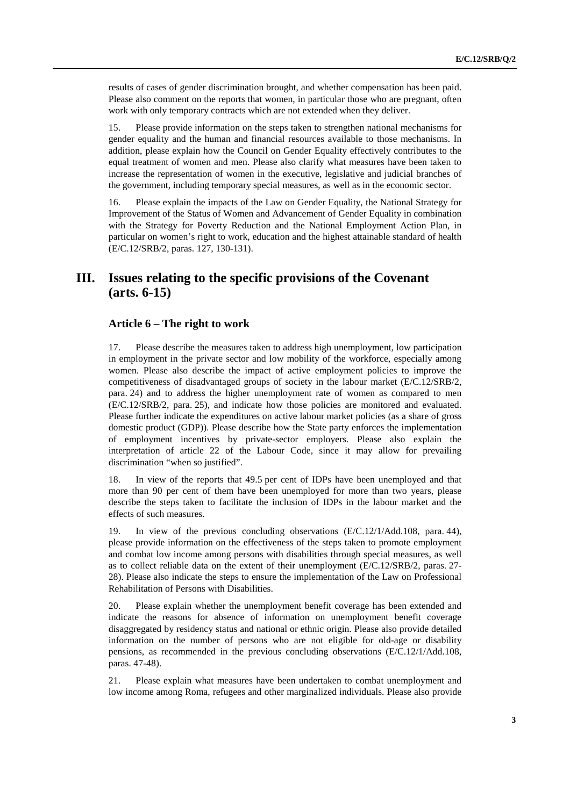results of cases of gender discrimination brought, and whether compensation has been paid. Please also comment on the reports that women, in particular those who are pregnant, often work with only temporary contracts which are not extended when they deliver.

15. Please provide information on the steps taken to strengthen national mechanisms for gender equality and the human and financial resources available to those mechanisms. In addition, please explain how the Council on Gender Equality effectively contributes to the equal treatment of women and men. Please also clarify what measures have been taken to increase the representation of women in the executive, legislative and judicial branches of the government, including temporary special measures, as well as in the economic sector.

16. Please explain the impacts of the Law on Gender Equality, the National Strategy for Improvement of the Status of Women and Advancement of Gender Equality in combination with the Strategy for Poverty Reduction and the National Employment Action Plan, in particular on women's right to work, education and the highest attainable standard of health (E/C.12/SRB/2, paras. 127, 130-131).

# **III. Issues relating to the specific provisions of the Covenant (arts. 6-15)**

## **Article 6 – The right to work**

17. Please describe the measures taken to address high unemployment, low participation in employment in the private sector and low mobility of the workforce, especially among women. Please also describe the impact of active employment policies to improve the competitiveness of disadvantaged groups of society in the labour market (E/C.12/SRB/2, para. 24) and to address the higher unemployment rate of women as compared to men (E/C.12/SRB/2, para. 25), and indicate how those policies are monitored and evaluated. Please further indicate the expenditures on active labour market policies (as a share of gross domestic product (GDP)). Please describe how the State party enforces the implementation of employment incentives by private-sector employers. Please also explain the interpretation of article 22 of the Labour Code, since it may allow for prevailing discrimination "when so justified".

18. In view of the reports that 49.5 per cent of IDPs have been unemployed and that more than 90 per cent of them have been unemployed for more than two years, please describe the steps taken to facilitate the inclusion of IDPs in the labour market and the effects of such measures.

19. In view of the previous concluding observations (E/C.12/1/Add.108, para. 44), please provide information on the effectiveness of the steps taken to promote employment and combat low income among persons with disabilities through special measures, as well as to collect reliable data on the extent of their unemployment (E/C.12/SRB/2, paras. 27- 28). Please also indicate the steps to ensure the implementation of the Law on Professional Rehabilitation of Persons with Disabilities.

20. Please explain whether the unemployment benefit coverage has been extended and indicate the reasons for absence of information on unemployment benefit coverage disaggregated by residency status and national or ethnic origin. Please also provide detailed information on the number of persons who are not eligible for old-age or disability pensions, as recommended in the previous concluding observations (E/C.12/1/Add.108, paras. 47-48).

21. Please explain what measures have been undertaken to combat unemployment and low income among Roma, refugees and other marginalized individuals. Please also provide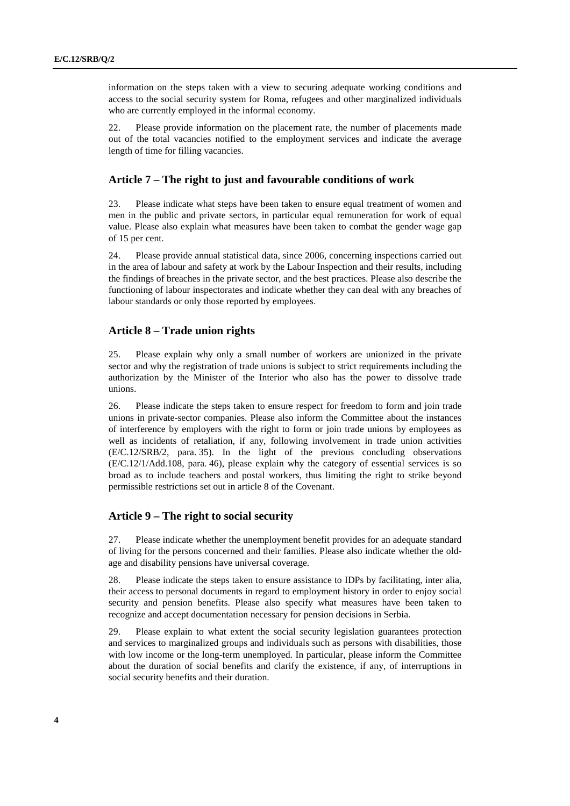information on the steps taken with a view to securing adequate working conditions and access to the social security system for Roma, refugees and other marginalized individuals who are currently employed in the informal economy.

22. Please provide information on the placement rate, the number of placements made out of the total vacancies notified to the employment services and indicate the average length of time for filling vacancies.

#### **Article 7 – The right to just and favourable conditions of work**

23. Please indicate what steps have been taken to ensure equal treatment of women and men in the public and private sectors, in particular equal remuneration for work of equal value. Please also explain what measures have been taken to combat the gender wage gap of 15 per cent.

24. Please provide annual statistical data, since 2006, concerning inspections carried out in the area of labour and safety at work by the Labour Inspection and their results, including the findings of breaches in the private sector, and the best practices. Please also describe the functioning of labour inspectorates and indicate whether they can deal with any breaches of labour standards or only those reported by employees.

## **Article 8 – Trade union rights**

25. Please explain why only a small number of workers are unionized in the private sector and why the registration of trade unions is subject to strict requirements including the authorization by the Minister of the Interior who also has the power to dissolve trade unions.

26. Please indicate the steps taken to ensure respect for freedom to form and join trade unions in private-sector companies. Please also inform the Committee about the instances of interference by employers with the right to form or join trade unions by employees as well as incidents of retaliation, if any, following involvement in trade union activities (E/C.12/SRB/2, para. 35). In the light of the previous concluding observations (E/C.12/1/Add.108, para. 46), please explain why the category of essential services is so broad as to include teachers and postal workers, thus limiting the right to strike beyond permissible restrictions set out in article 8 of the Covenant.

#### **Article 9 – The right to social security**

27. Please indicate whether the unemployment benefit provides for an adequate standard of living for the persons concerned and their families. Please also indicate whether the oldage and disability pensions have universal coverage.

28. Please indicate the steps taken to ensure assistance to IDPs by facilitating, inter alia, their access to personal documents in regard to employment history in order to enjoy social security and pension benefits. Please also specify what measures have been taken to recognize and accept documentation necessary for pension decisions in Serbia.

29. Please explain to what extent the social security legislation guarantees protection and services to marginalized groups and individuals such as persons with disabilities, those with low income or the long-term unemployed. In particular, please inform the Committee about the duration of social benefits and clarify the existence, if any, of interruptions in social security benefits and their duration.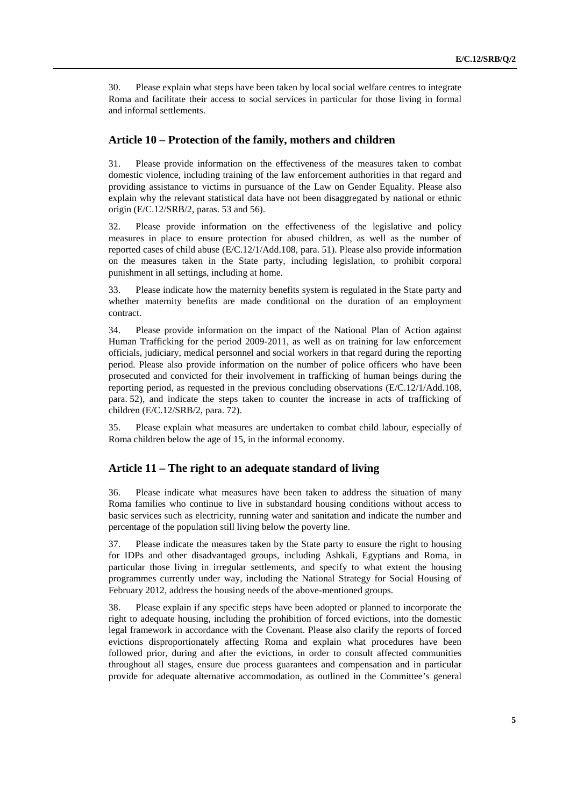30. Please explain what steps have been taken by local social welfare centres to integrate Roma and facilitate their access to social services in particular for those living in formal and informal settlements.

#### **Article 10 – Protection of the family, mothers and children**

31. Please provide information on the effectiveness of the measures taken to combat domestic violence, including training of the law enforcement authorities in that regard and providing assistance to victims in pursuance of the Law on Gender Equality. Please also explain why the relevant statistical data have not been disaggregated by national or ethnic origin (E/C.12/SRB/2, paras. 53 and 56).

32. Please provide information on the effectiveness of the legislative and policy measures in place to ensure protection for abused children, as well as the number of reported cases of child abuse (E/C.12/1/Add.108, para. 51). Please also provide information on the measures taken in the State party, including legislation, to prohibit corporal punishment in all settings, including at home.

33. Please indicate how the maternity benefits system is regulated in the State party and whether maternity benefits are made conditional on the duration of an employment contract.

34. Please provide information on the impact of the National Plan of Action against Human Trafficking for the period 2009-2011, as well as on training for law enforcement officials, judiciary, medical personnel and social workers in that regard during the reporting period. Please also provide information on the number of police officers who have been prosecuted and convicted for their involvement in trafficking of human beings during the reporting period, as requested in the previous concluding observations (E/C.12/1/Add.108, para. 52), and indicate the steps taken to counter the increase in acts of trafficking of children (E/C.12/SRB/2, para. 72).

35. Please explain what measures are undertaken to combat child labour, especially of Roma children below the age of 15, in the informal economy.

## **Article 11 – The right to an adequate standard of living**

36. Please indicate what measures have been taken to address the situation of many Roma families who continue to live in substandard housing conditions without access to basic services such as electricity, running water and sanitation and indicate the number and percentage of the population still living below the poverty line.

37. Please indicate the measures taken by the State party to ensure the right to housing for IDPs and other disadvantaged groups, including Ashkali, Egyptians and Roma, in particular those living in irregular settlements, and specify to what extent the housing programmes currently under way, including the National Strategy for Social Housing of February 2012, address the housing needs of the above-mentioned groups.

38. Please explain if any specific steps have been adopted or planned to incorporate the right to adequate housing, including the prohibition of forced evictions, into the domestic legal framework in accordance with the Covenant. Please also clarify the reports of forced evictions disproportionately affecting Roma and explain what procedures have been followed prior, during and after the evictions, in order to consult affected communities throughout all stages, ensure due process guarantees and compensation and in particular provide for adequate alternative accommodation, as outlined in the Committee's general